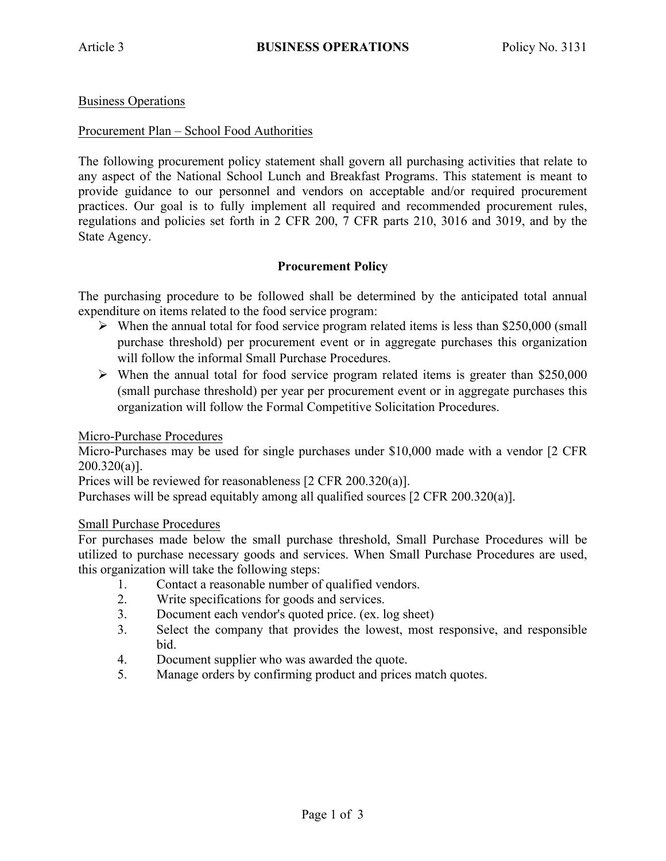Business Operations

## Procurement Plan – School Food Authorities

The following procurement policy statement shall govern all purchasing activities that relate to any aspect of the National School Lunch and Breakfast Programs. This statement is meant to provide guidance to our personnel and vendors on acceptable and/or required procurement practices. Our goal is to fully implement all required and recommended procurement rules, regulations and policies set forth in 2 CFR 200, 7 CFR parts 210, 3016 and 3019, and by the State Agency.

## **Procurement Policy**

The purchasing procedure to be followed shall be determined by the anticipated total annual expenditure on items related to the food service program:

- $\triangleright$  When the annual total for food service program related items is less than \$250,000 (small purchase threshold) per procurement event or in aggregate purchases this organization will follow the informal Small Purchase Procedures.
- $\triangleright$  When the annual total for food service program related items is greater than \$250,000 (small purchase threshold) per year per procurement event or in aggregate purchases this organization will follow the Formal Competitive Solicitation Procedures.

## Micro-Purchase Procedures

Micro-Purchases may be used for single purchases under \$10,000 made with a vendor [2 CFR  $200.320(a)$ ].

Prices will be reviewed for reasonableness [2 CFR 200.320(a)].

Purchases will be spread equitably among all qualified sources [2 CFR 200.320(a)].

## Small Purchase Procedures

For purchases made below the small purchase threshold, Small Purchase Procedures will be utilized to purchase necessary goods and services. When Small Purchase Procedures are used, this organization will take the following steps:

- 1. Contact a reasonable number of qualified vendors.
- 2. Write specifications for goods and services.
- 3. Document each vendor's quoted price. (ex. log sheet)
- 3. Select the company that provides the lowest, most responsive, and responsible bid.
- 4. Document supplier who was awarded the quote.
- 5. Manage orders by confirming product and prices match quotes.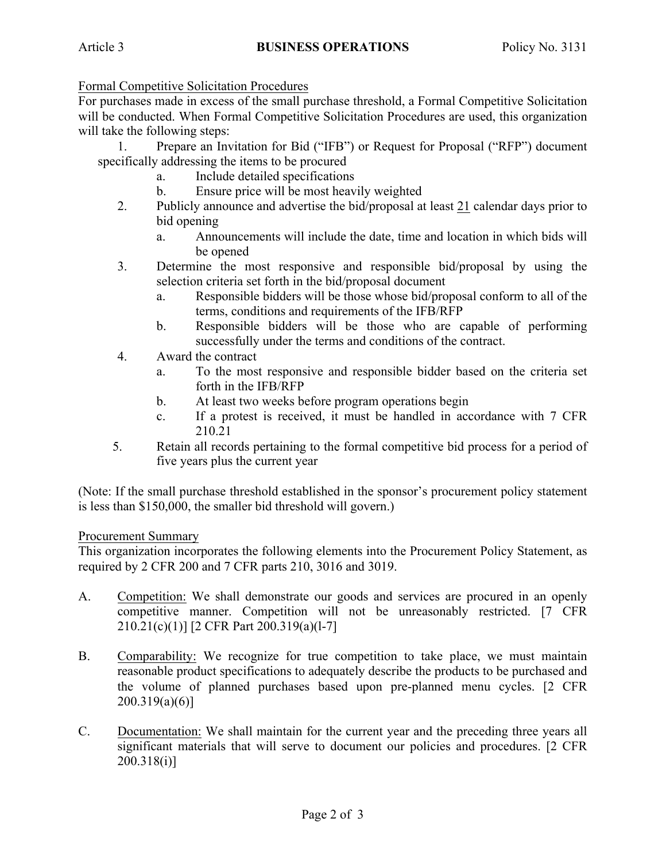Formal Competitive Solicitation Procedures

For purchases made in excess of the small purchase threshold, a Formal Competitive Solicitation will be conducted. When Formal Competitive Solicitation Procedures are used, this organization will take the following steps:

1. Prepare an Invitation for Bid ("IFB") or Request for Proposal ("RFP") document specifically addressing the items to be procured

- a. Include detailed specifications
- b. Ensure price will be most heavily weighted
- 2. Publicly announce and advertise the bid/proposal at least 21 calendar days prior to bid opening
	- a. Announcements will include the date, time and location in which bids will be opened
- 3. Determine the most responsive and responsible bid/proposal by using the selection criteria set forth in the bid/proposal document
	- a. Responsible bidders will be those whose bid/proposal conform to all of the terms, conditions and requirements of the IFB/RFP
	- b. Responsible bidders will be those who are capable of performing successfully under the terms and conditions of the contract.
- 4. Award the contract
	- a. To the most responsive and responsible bidder based on the criteria set forth in the IFB/RFP
	- b. At least two weeks before program operations begin
	- c. If a protest is received, it must be handled in accordance with 7 CFR 210.21
- 5. Retain all records pertaining to the formal competitive bid process for a period of five years plus the current year

(Note: If the small purchase threshold established in the sponsor's procurement policy statement is less than \$150,000, the smaller bid threshold will govern.)

Procurement Summary

This organization incorporates the following elements into the Procurement Policy Statement, as required by 2 CFR 200 and 7 CFR parts 210, 3016 and 3019.

- A. Competition: We shall demonstrate our goods and services are procured in an openly competitive manner. Competition will not be unreasonably restricted. [7 CFR 210.21(c)(1)] [2 CFR Part 200.319(a)(l-7]
- B. Comparability: We recognize for true competition to take place, we must maintain reasonable product specifications to adequately describe the products to be purchased and the volume of planned purchases based upon pre-planned menu cycles. [2 CFR 200.319(a)(6)]
- C. Documentation: We shall maintain for the current year and the preceding three years all significant materials that will serve to document our policies and procedures. [2 CFR 200.318(i)]